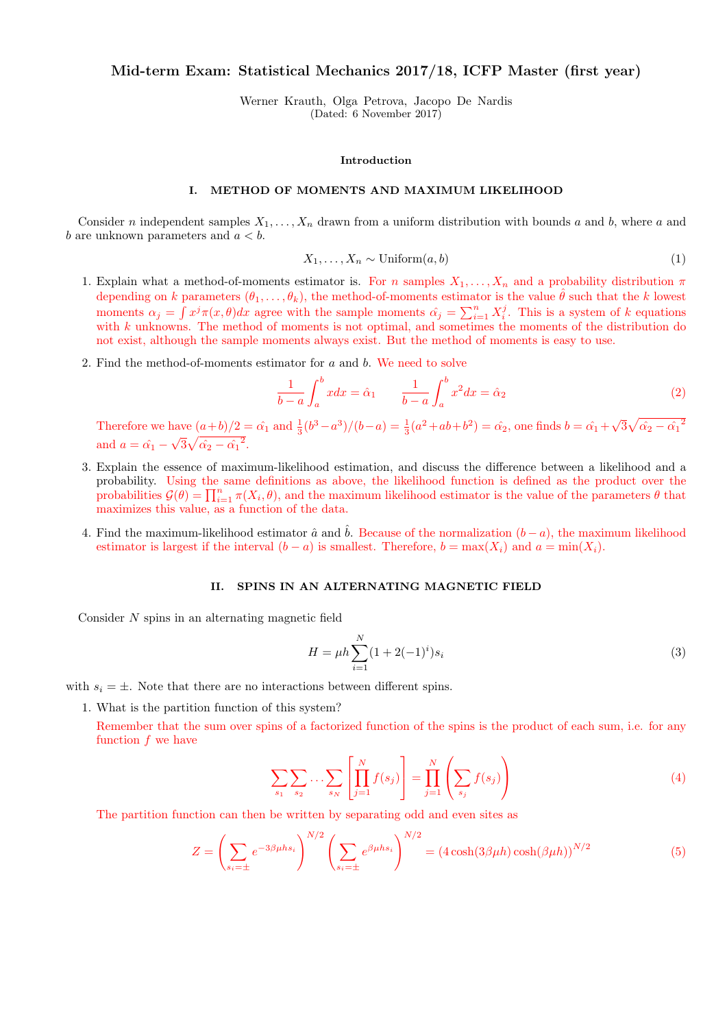# Mid-term Exam: Statistical Mechanics 2017/18, ICFP Master (first year)

Werner Krauth, Olga Petrova, Jacopo De Nardis (Dated: 6 November 2017)

#### Introduction

## I. METHOD OF MOMENTS AND MAXIMUM LIKELIHOOD

Consider n independent samples  $X_1, \ldots, X_n$  drawn from a uniform distribution with bounds a and b, where a and b are unknown parameters and  $a < b$ .

$$
X_1, \dots, X_n \sim \text{Uniform}(a, b) \tag{1}
$$

- 1. Explain what a method-of-moments estimator is. For n samples  $X_1, \ldots, X_n$  and a probability distribution  $\pi$ depending on k parameters  $(\theta_1, \ldots, \theta_k)$ , the method-of-moments estimator is the value  $\hat{\theta}$  such that the k lowest moments  $\alpha_j = \int x^j \pi(x, \theta) dx$  agree with the sample moments  $\hat{\alpha}_j = \sum_{i=1}^n X_i^j$ . This is a system of k equations with k unknowns. The method of moments is not optimal, and sometimes the moments of the distribution do not exist, although the sample moments always exist. But the method of moments is easy to use.
- 2. Find the method-of-moments estimator for a and b. We need to solve

$$
\frac{1}{b-a} \int_a^b x dx = \hat{\alpha}_1 \qquad \frac{1}{b-a} \int_a^b x^2 dx = \hat{\alpha}_2 \tag{2}
$$

Therefore we have  $(a+b)/2 = \hat{\alpha}_1$  and  $\frac{1}{3}(b^3 - a^3)/(b - a) = \frac{1}{3}(a^2 + ab + b^2) = \hat{\alpha}_2$ , one finds  $b = \hat{\alpha}_1 + b^2$ √  $\sqrt[3]{\hat{\alpha_2}-{\hat{\alpha_1}}^2}$ and  $a = \hat{\alpha_1}$  – √  $\overline{3}\sqrt{\hat{\alpha_2}-{\hat{\alpha_1}}^2}.$ 

- 3. Explain the essence of maximum-likelihood estimation, and discuss the difference between a likelihood and a probability. Using the same definitions as above, the likelihood function is defined as the product over the probabilities  $\mathcal{G}(\theta) = \prod_{i=1}^n \pi(X_i, \theta)$ , and the maximum likelihood estimator is the value of the parameters  $\theta$  that maximizes this value, as a function of the data.
- 4. Find the maximum-likelihood estimator  $\hat{a}$  and  $\hat{b}$ . Because of the normalization  $(b a)$ , the maximum likelihood estimator is largest if the interval  $(b - a)$  is smallest. Therefore,  $b = \max(X_i)$  and  $a = \min(X_i)$ .

## II. SPINS IN AN ALTERNATING MAGNETIC FIELD

Consider N spins in an alternating magnetic field

$$
H = \mu h \sum_{i=1}^{N} (1 + 2(-1)^i) s_i
$$
\n(3)

with  $s_i = \pm$ . Note that there are no interactions between different spins.

1. What is the partition function of this system?

Remember that the sum over spins of a factorized function of the spins is the product of each sum, i.e. for any function  $f$  we have

$$
\sum_{s_1} \sum_{s_2} \dots \sum_{s_N} \left[ \prod_{j=1}^N f(s_j) \right] = \prod_{j=1}^N \left( \sum_{s_j} f(s_j) \right)
$$
(4)

The partition function can then be written by separating odd and even sites as

$$
Z = \left(\sum_{s_i=\pm} e^{-3\beta\mu hs_i}\right)^{N/2} \left(\sum_{s_i=\pm} e^{\beta\mu hs_i}\right)^{N/2} = \left(4\cosh(3\beta\mu h)\cosh(\beta\mu h)\right)^{N/2} \tag{5}
$$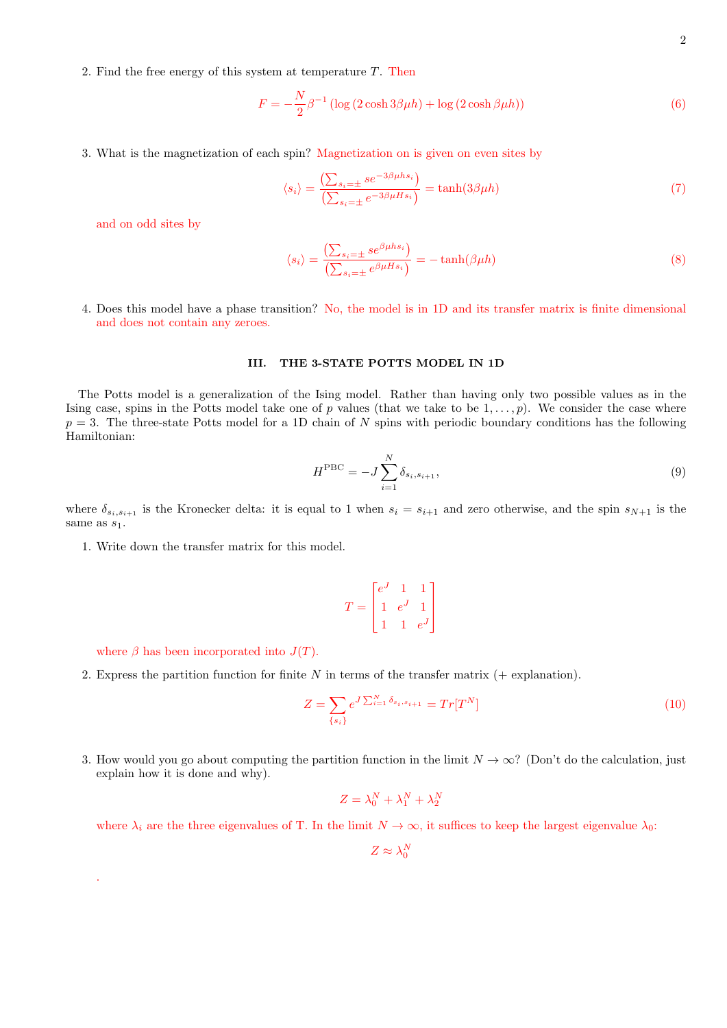2. Find the free energy of this system at temperature  $T$ . Then

$$
F = -\frac{N}{2}\beta^{-1} \left( \log \left( 2 \cosh 3\beta \mu h \right) + \log \left( 2 \cosh \beta \mu h \right) \right) \tag{6}
$$

3. What is the magnetization of each spin? Magnetization on is given on even sites by

$$
\langle s_i \rangle = \frac{\left(\sum_{s_i=\pm} s e^{-3\beta \mu h s_i}\right)}{\left(\sum_{s_i=\pm} e^{-3\beta \mu H s_i}\right)} = \tanh(3\beta \mu h) \tag{7}
$$

and on odd sites by

$$
\langle s_i \rangle = \frac{\left(\sum_{s_i=\pm} s e^{\beta \mu h s_i}\right)}{\left(\sum_{s_i=\pm} e^{\beta \mu H s_i}\right)} = -\tanh(\beta \mu h) \tag{8}
$$

4. Does this model have a phase transition? No, the model is in 1D and its transfer matrix is finite dimensional and does not contain any zeroes.

#### III. THE 3-STATE POTTS MODEL IN 1D

The Potts model is a generalization of the Ising model. Rather than having only two possible values as in the Ising case, spins in the Potts model take one of p values (that we take to be  $1, \ldots, p$ ). We consider the case where  $p = 3$ . The three-state Potts model for a 1D chain of N spins with periodic boundary conditions has the following Hamiltonian:

$$
H^{\rm PBC} = -J \sum_{i=1}^{N} \delta_{s_i, s_{i+1}},
$$
\n(9)

where  $\delta_{s_i,s_{i+1}}$  is the Kronecker delta: it is equal to 1 when  $s_i = s_{i+1}$  and zero otherwise, and the spin  $s_{N+1}$  is the same as  $s_1$ .

1. Write down the transfer matrix for this model.

$$
T = \begin{bmatrix} e^J & 1 & 1 \\ 1 & e^J & 1 \\ 1 & 1 & e^J \end{bmatrix}
$$

where  $\beta$  has been incorporated into  $J(T)$ .

.

2. Express the partition function for finite  $N$  in terms of the transfer matrix  $(+)$  explanation).

$$
Z = \sum_{\{s_i\}} e^{J \sum_{i=1}^{N} \delta_{s_i, s_{i+1}}} = Tr[T^N]
$$
\n(10)

3. How would you go about computing the partition function in the limit  $N \to \infty$ ? (Don't do the calculation, just explain how it is done and why).

$$
Z = \lambda_0^N + \lambda_1^N + \lambda_2^N
$$

where  $\lambda_i$  are the three eigenvalues of T. In the limit  $N \to \infty$ , it suffices to keep the largest eigenvalue  $\lambda_0$ :

 $Z \approx \lambda_0^N$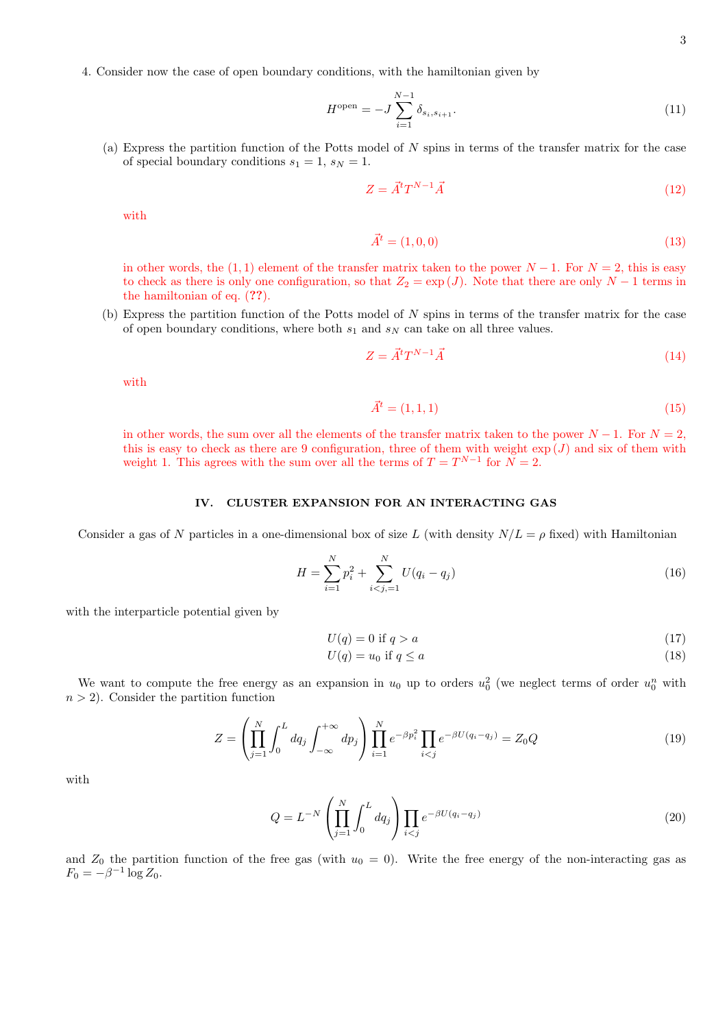3

4. Consider now the case of open boundary conditions, with the hamiltonian given by

$$
H^{\text{open}} = -J \sum_{i=1}^{N-1} \delta_{s_i, s_{i+1}}.
$$
\n(11)

(a) Express the partition function of the Potts model of N spins in terms of the transfer matrix for the case of special boundary conditions  $s_1 = 1$ ,  $s_N = 1$ .

$$
Z = \vec{A}^t T^{N-1} \vec{A} \tag{12}
$$

with

$$
\vec{A}^t = (1, 0, 0) \tag{13}
$$

in other words, the (1, 1) element of the transfer matrix taken to the power  $N-1$ . For  $N=2$ , this is easy to check as there is only one configuration, so that  $Z_2 = \exp(J)$ . Note that there are only  $N - 1$  terms in the hamiltonian of eq. (??).

(b) Express the partition function of the Potts model of N spins in terms of the transfer matrix for the case of open boundary conditions, where both  $s_1$  and  $s_N$  can take on all three values.

$$
Z = \vec{A}^t T^{N-1} \vec{A} \tag{14}
$$

with

$$
\vec{A}^t = (1, 1, 1) \tag{15}
$$

in other words, the sum over all the elements of the transfer matrix taken to the power  $N-1$ . For  $N=2$ , this is easy to check as there are 9 configuration, three of them with weight  $\exp(J)$  and six of them with weight 1. This agrees with the sum over all the terms of  $T = T^{N-1}$  for  $N = 2$ .

## IV. CLUSTER EXPANSION FOR AN INTERACTING GAS

Consider a gas of N particles in a one-dimensional box of size L (with density  $N/L = \rho$  fixed) with Hamiltonian

$$
H = \sum_{i=1}^{N} p_i^2 + \sum_{i < j, = 1}^{N} U(q_i - q_j) \tag{16}
$$

with the interparticle potential given by

$$
U(q) = 0 \text{ if } q > a \tag{17}
$$

$$
U(q) = u_0 \text{ if } q \le a \tag{18}
$$

We want to compute the free energy as an expansion in  $u_0$  up to orders  $u_0^2$  (we neglect terms of order  $u_0^n$  with  $n > 2$ ). Consider the partition function

$$
Z = \left(\prod_{j=1}^{N} \int_{0}^{L} dq_j \int_{-\infty}^{+\infty} dp_j \right) \prod_{i=1}^{N} e^{-\beta p_i^2} \prod_{i < j} e^{-\beta U(q_i - q_j)} = Z_0 Q \tag{19}
$$

with

$$
Q = L^{-N} \left( \prod_{j=1}^{N} \int_{0}^{L} dq_j \right) \prod_{i < j} e^{-\beta U(q_i - q_j)} \tag{20}
$$

and  $Z_0$  the partition function of the free gas (with  $u_0 = 0$ ). Write the free energy of the non-interacting gas as  $F_0 = -\beta^{-1} \log Z_0.$